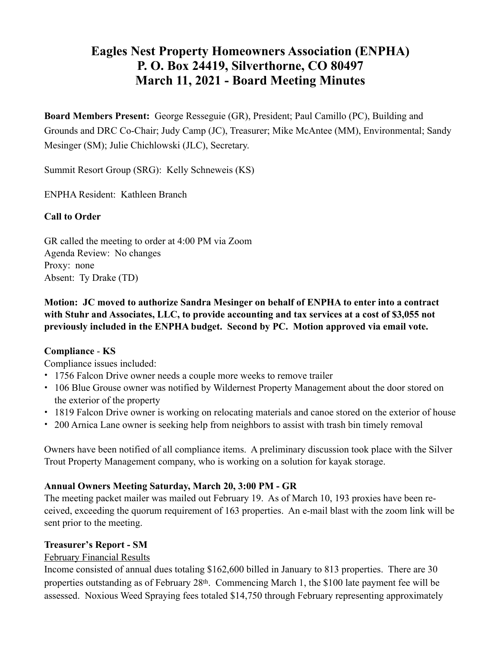## **Eagles Nest Property Homeowners Association (ENPHA) P. O. Box 24419, Silverthorne, CO 80497 March 11, 2021 - Board Meeting Minutes**

**Board Members Present:** George Resseguie (GR), President; Paul Camillo (PC), Building and Grounds and DRC Co-Chair; Judy Camp (JC), Treasurer; Mike McAntee (MM), Environmental; Sandy Mesinger (SM); Julie Chichlowski (JLC), Secretary.

Summit Resort Group (SRG): Kelly Schneweis (KS)

ENPHA Resident: Kathleen Branch

## **Call to Order**

GR called the meeting to order at 4:00 PM via Zoom Agenda Review: No changes Proxy: none Absent: Ty Drake (TD)

## **Motion: JC moved to authorize Sandra Mesinger on behalf of ENPHA to enter into a contract with Stuhr and Associates, LLC, to provide accounting and tax services at a cost of \$3,055 not previously included in the ENPHA budget. Second by PC. Motion approved via email vote.**

## **Compliance** - **KS**

Compliance issues included:

- 1756 Falcon Drive owner needs a couple more weeks to remove trailer
- 106 Blue Grouse owner was notified by Wildernest Property Management about the door stored on the exterior of the property
- 1819 Falcon Drive owner is working on relocating materials and canoe stored on the exterior of house
- 200 Arnica Lane owner is seeking help from neighbors to assist with trash bin timely removal

Owners have been notified of all compliance items. A preliminary discussion took place with the Silver Trout Property Management company, who is working on a solution for kayak storage.

## **Annual Owners Meeting Saturday, March 20, 3:00 PM - GR**

The meeting packet mailer was mailed out February 19. As of March 10, 193 proxies have been received, exceeding the quorum requirement of 163 properties. An e-mail blast with the zoom link will be sent prior to the meeting.

### **Treasurer's Report - SM**

### February Financial Results

Income consisted of annual dues totaling \$162,600 billed in January to 813 properties. There are 30 properties outstanding as of February 28th. Commencing March 1, the \$100 late payment fee will be assessed. Noxious Weed Spraying fees totaled \$14,750 through February representing approximately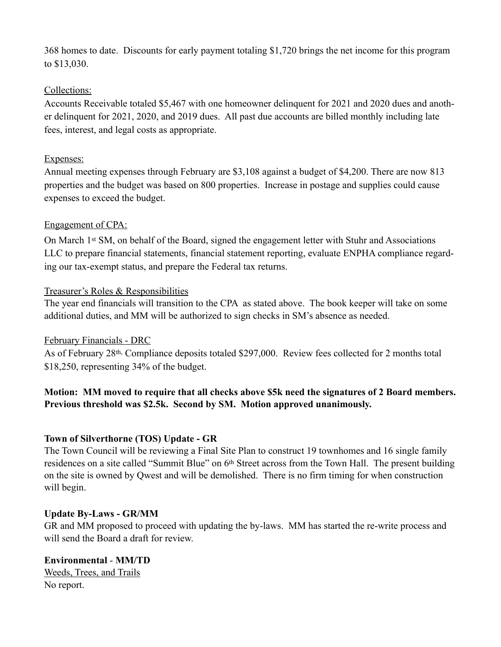368 homes to date. Discounts for early payment totaling \$1,720 brings the net income for this program to \$13,030.

## Collections:

Accounts Receivable totaled \$5,467 with one homeowner delinquent for 2021 and 2020 dues and another delinquent for 2021, 2020, and 2019 dues. All past due accounts are billed monthly including late fees, interest, and legal costs as appropriate.

## Expenses:

Annual meeting expenses through February are \$3,108 against a budget of \$4,200. There are now 813 properties and the budget was based on 800 properties. Increase in postage and supplies could cause expenses to exceed the budget.

## Engagement of CPA:

On March 1st SM, on behalf of the Board, signed the engagement letter with Stuhr and Associations LLC to prepare financial statements, financial statement reporting, evaluate ENPHA compliance regarding our tax-exempt status, and prepare the Federal tax returns.

## Treasurer's Roles & Responsibilities

The year end financials will transition to the CPA as stated above. The book keeper will take on some additional duties, and MM will be authorized to sign checks in SM's absence as needed.

### February Financials - DRC

As of February 28th, Compliance deposits totaled \$297,000. Review fees collected for 2 months total \$18,250, representing 34% of the budget.

## **Motion: MM moved to require that all checks above \$5k need the signatures of 2 Board members. Previous threshold was \$2.5k. Second by SM. Motion approved unanimously.**

## **Town of Silverthorne (TOS) Update - GR**

The Town Council will be reviewing a Final Site Plan to construct 19 townhomes and 16 single family residences on a site called "Summit Blue" on 6th Street across from the Town Hall. The present building on the site is owned by Qwest and will be demolished. There is no firm timing for when construction will begin.

### **Update By-Laws - GR/MM**

GR and MM proposed to proceed with updating the by-laws. MM has started the re-write process and will send the Board a draft for review.

# **Environmental** - **MM/TD**

Weeds, Trees, and Trails No report.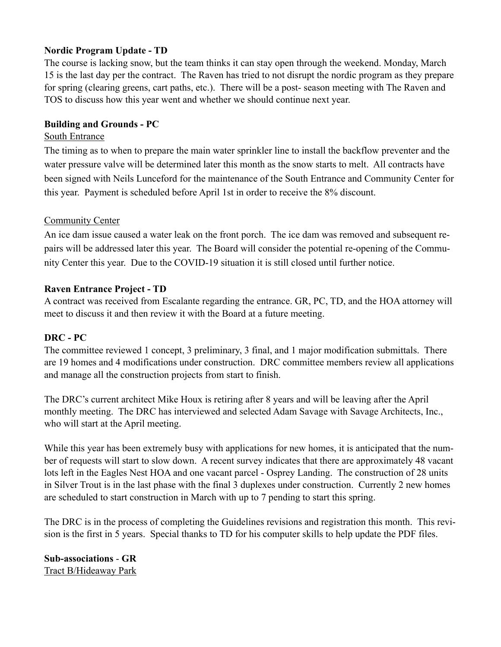## **Nordic Program Update - TD**

The course is lacking snow, but the team thinks it can stay open through the weekend. Monday, March 15 is the last day per the contract. The Raven has tried to not disrupt the nordic program as they prepare for spring (clearing greens, cart paths, etc.). There will be a post- season meeting with The Raven and TOS to discuss how this year went and whether we should continue next year.

### **Building and Grounds - PC**

### South Entrance

The timing as to when to prepare the main water sprinkler line to install the backflow preventer and the water pressure valve will be determined later this month as the snow starts to melt. All contracts have been signed with Neils Lunceford for the maintenance of the South Entrance and Community Center for this year. Payment is scheduled before April 1st in order to receive the 8% discount.

### Community Center

An ice dam issue caused a water leak on the front porch. The ice dam was removed and subsequent repairs will be addressed later this year. The Board will consider the potential re-opening of the Community Center this year. Due to the COVID-19 situation it is still closed until further notice.

### **Raven Entrance Project - TD**

A contract was received from Escalante regarding the entrance. GR, PC, TD, and the HOA attorney will meet to discuss it and then review it with the Board at a future meeting.

### **DRC - PC**

The committee reviewed 1 concept, 3 preliminary, 3 final, and 1 major modification submittals. There are 19 homes and 4 modifications under construction. DRC committee members review all applications and manage all the construction projects from start to finish.

The DRC's current architect Mike Houx is retiring after 8 years and will be leaving after the April monthly meeting. The DRC has interviewed and selected Adam Savage with Savage Architects, Inc., who will start at the April meeting.

While this year has been extremely busy with applications for new homes, it is anticipated that the number of requests will start to slow down. A recent survey indicates that there are approximately 48 vacant lots left in the Eagles Nest HOA and one vacant parcel - Osprey Landing. The construction of 28 units in Silver Trout is in the last phase with the final 3 duplexes under construction. Currently 2 new homes are scheduled to start construction in March with up to 7 pending to start this spring.

The DRC is in the process of completing the Guidelines revisions and registration this month. This revision is the first in 5 years. Special thanks to TD for his computer skills to help update the PDF files.

**Sub-associations** - **GR**  Tract B/Hideaway Park